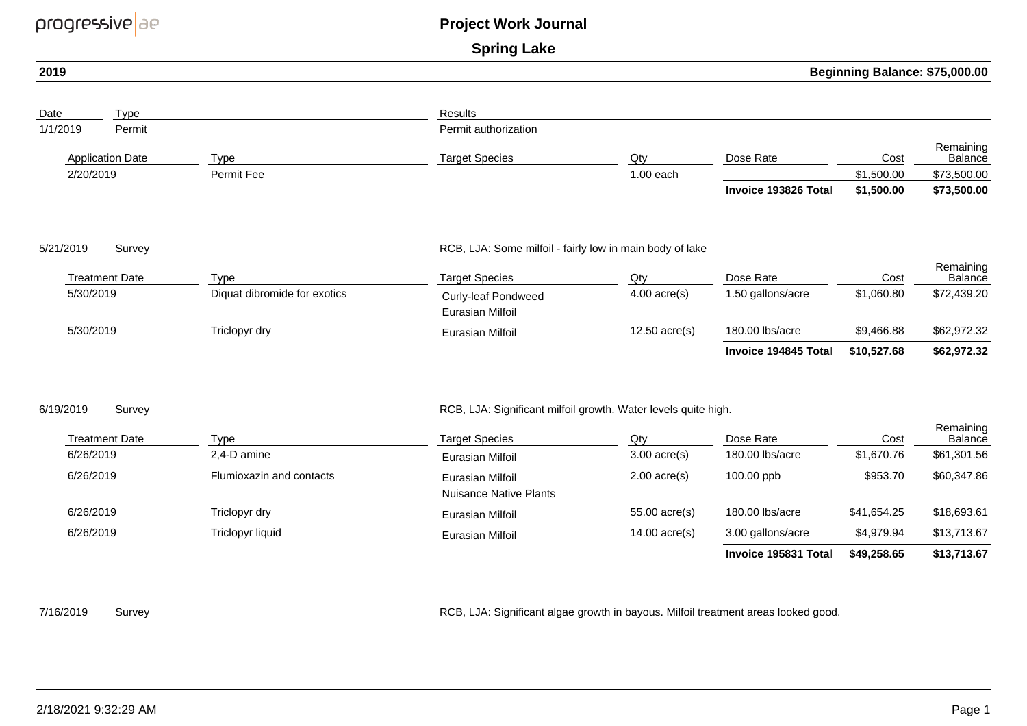| progressive ae         |                                 |                                             | <b>Project Work Journal</b>                                                                                                                |                       |                                |                                |                                     |  |
|------------------------|---------------------------------|---------------------------------------------|--------------------------------------------------------------------------------------------------------------------------------------------|-----------------------|--------------------------------|--------------------------------|-------------------------------------|--|
|                        |                                 |                                             | <b>Spring Lake</b>                                                                                                                         |                       |                                |                                |                                     |  |
| 2019                   |                                 |                                             |                                                                                                                                            |                       |                                | Beginning Balance: \$75,000.00 |                                     |  |
| Date                   | Type                            |                                             | <b>Results</b>                                                                                                                             |                       |                                |                                |                                     |  |
| 1/1/2019               | Permit                          |                                             | Permit authorization                                                                                                                       |                       |                                |                                |                                     |  |
|                        | <b>Application Date</b>         | <b>Type</b>                                 | <b>Target Species</b>                                                                                                                      | Qty                   | Dose Rate                      | Cost                           | Remaining<br>Balance                |  |
| 2/20/2019              |                                 | Permit Fee                                  |                                                                                                                                            | $1.00$ each           |                                | \$1,500.00                     | \$73,500.00                         |  |
|                        |                                 |                                             |                                                                                                                                            |                       | Invoice 193826 Total           | \$1,500.00                     | \$73,500.00                         |  |
| 5/21/2019<br>5/30/2019 | Survey<br><b>Treatment Date</b> | <b>Type</b><br>Diquat dibromide for exotics | RCB, LJA: Some milfoil - fairly low in main body of lake<br><b>Target Species</b><br><b>Curly-leaf Pondweed</b><br><b>Eurasian Milfoil</b> | Qty<br>$4.00$ acre(s) | Dose Rate<br>1.50 gallons/acre | Cost<br>\$1,060.80             | Remaining<br>Balance<br>\$72,439.20 |  |
| 5/30/2019              |                                 | Triclopyr dry                               | Eurasian Milfoil                                                                                                                           | $12.50$ acre(s)       | 180.00 lbs/acre                | \$9,466.88                     | \$62,972.32                         |  |
|                        |                                 |                                             |                                                                                                                                            |                       | Invoice 194845 Total           | \$10,527.68                    | \$62,972.32                         |  |
| 6/19/2019              | Survey                          |                                             | RCB, LJA: Significant milfoil growth. Water levels quite high.                                                                             |                       |                                |                                |                                     |  |
|                        | <b>Treatment Date</b>           | <b>Type</b>                                 | <b>Target Species</b>                                                                                                                      | Qty                   | Dose Rate                      | Cost                           | Remaining<br>Balance                |  |
| 6/26/2019              |                                 | 2,4-D amine                                 | <b>Eurasian Milfoil</b>                                                                                                                    | $3.00$ acre(s)        | 180.00 lbs/acre                | \$1,670.76                     | \$61,301.56                         |  |
| 6/26/2019              |                                 | Flumioxazin and contacts                    | Eurasian Milfoil                                                                                                                           | $2.00$ acre(s)        | 100.00 ppb                     | \$953.70                       | \$60,347.86                         |  |

| Treatment Date | Type                     | Target Species                             | Qty             | Dose Rate            | Cost        | <b>INGHTAILING</b><br>Balance |
|----------------|--------------------------|--------------------------------------------|-----------------|----------------------|-------------|-------------------------------|
| 6/26/2019      | 2.4-D amine              | Eurasian Milfoil                           | $3.00$ acre(s)  | 180.00 lbs/acre      | \$1,670.76  | \$61,301.56                   |
| 6/26/2019      | Flumioxazin and contacts | Eurasian Milfoil<br>Nuisance Native Plants | $2.00$ acre(s)  | $100.00$ ppb         | \$953.70    | \$60,347.86                   |
| 6/26/2019      | Triclopyr dry            | Eurasian Milfoil                           | $55.00$ acre(s) | 180,00 lbs/acre      | \$41.654.25 | \$18,693.61                   |
| 6/26/2019      | Triclopyr liquid         | Eurasian Milfoil                           | $14.00$ acre(s) | 3.00 gallons/acre    | \$4,979.94  | \$13,713.67                   |
|                |                          |                                            |                 | Invoice 195831 Total | \$49,258.65 | \$13,713.67                   |

7/16/2019

Survey Survey RCB, LJA: Significant algae growth in bayous. Milfoil treatment areas looked good.